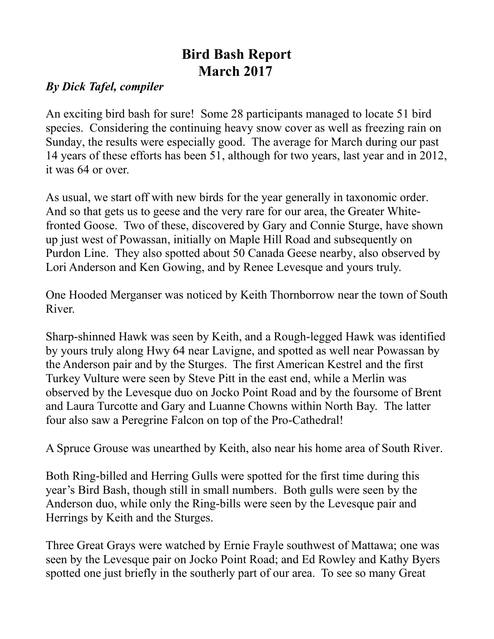## **Bird Bash Report March 2017**

## *By Dick Tafel, compiler*

An exciting bird bash for sure! Some 28 participants managed to locate 51 bird species. Considering the continuing heavy snow cover as well as freezing rain on Sunday, the results were especially good. The average for March during our past 14 years of these efforts has been 51, although for two years, last year and in 2012, it was 64 or over.

As usual, we start off with new birds for the year generally in taxonomic order. And so that gets us to geese and the very rare for our area, the Greater Whitefronted Goose. Two of these, discovered by Gary and Connie Sturge, have shown up just west of Powassan, initially on Maple Hill Road and subsequently on Purdon Line. They also spotted about 50 Canada Geese nearby, also observed by Lori Anderson and Ken Gowing, and by Renee Levesque and yours truly.

One Hooded Merganser was noticed by Keith Thornborrow near the town of South River.

Sharp-shinned Hawk was seen by Keith, and a Rough-legged Hawk was identified by yours truly along Hwy 64 near Lavigne, and spotted as well near Powassan by the Anderson pair and by the Sturges. The first American Kestrel and the first Turkey Vulture were seen by Steve Pitt in the east end, while a Merlin was observed by the Levesque duo on Jocko Point Road and by the foursome of Brent and Laura Turcotte and Gary and Luanne Chowns within North Bay. The latter four also saw a Peregrine Falcon on top of the Pro-Cathedral!

A Spruce Grouse was unearthed by Keith, also near his home area of South River.

Both Ring-billed and Herring Gulls were spotted for the first time during this year's Bird Bash, though still in small numbers. Both gulls were seen by the Anderson duo, while only the Ring-bills were seen by the Levesque pair and Herrings by Keith and the Sturges.

Three Great Grays were watched by Ernie Frayle southwest of Mattawa; one was seen by the Levesque pair on Jocko Point Road; and Ed Rowley and Kathy Byers spotted one just briefly in the southerly part of our area. To see so many Great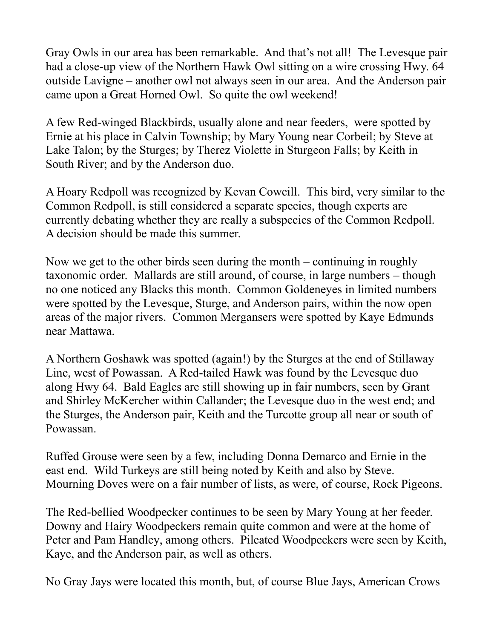Gray Owls in our area has been remarkable. And that's not all! The Levesque pair had a close-up view of the Northern Hawk Owl sitting on a wire crossing Hwy. 64 outside Lavigne – another owl not always seen in our area. And the Anderson pair came upon a Great Horned Owl. So quite the owl weekend!

A few Red-winged Blackbirds, usually alone and near feeders, were spotted by Ernie at his place in Calvin Township; by Mary Young near Corbeil; by Steve at Lake Talon; by the Sturges; by Therez Violette in Sturgeon Falls; by Keith in South River; and by the Anderson duo.

A Hoary Redpoll was recognized by Kevan Cowcill. This bird, very similar to the Common Redpoll, is still considered a separate species, though experts are currently debating whether they are really a subspecies of the Common Redpoll. A decision should be made this summer.

Now we get to the other birds seen during the month – continuing in roughly taxonomic order. Mallards are still around, of course, in large numbers – though no one noticed any Blacks this month. Common Goldeneyes in limited numbers were spotted by the Levesque, Sturge, and Anderson pairs, within the now open areas of the major rivers. Common Mergansers were spotted by Kaye Edmunds near Mattawa.

A Northern Goshawk was spotted (again!) by the Sturges at the end of Stillaway Line, west of Powassan. A Red-tailed Hawk was found by the Levesque duo along Hwy 64. Bald Eagles are still showing up in fair numbers, seen by Grant and Shirley McKercher within Callander; the Levesque duo in the west end; and the Sturges, the Anderson pair, Keith and the Turcotte group all near or south of Powassan.

Ruffed Grouse were seen by a few, including Donna Demarco and Ernie in the east end. Wild Turkeys are still being noted by Keith and also by Steve. Mourning Doves were on a fair number of lists, as were, of course, Rock Pigeons.

The Red-bellied Woodpecker continues to be seen by Mary Young at her feeder. Downy and Hairy Woodpeckers remain quite common and were at the home of Peter and Pam Handley, among others. Pileated Woodpeckers were seen by Keith, Kaye, and the Anderson pair, as well as others.

No Gray Jays were located this month, but, of course Blue Jays, American Crows